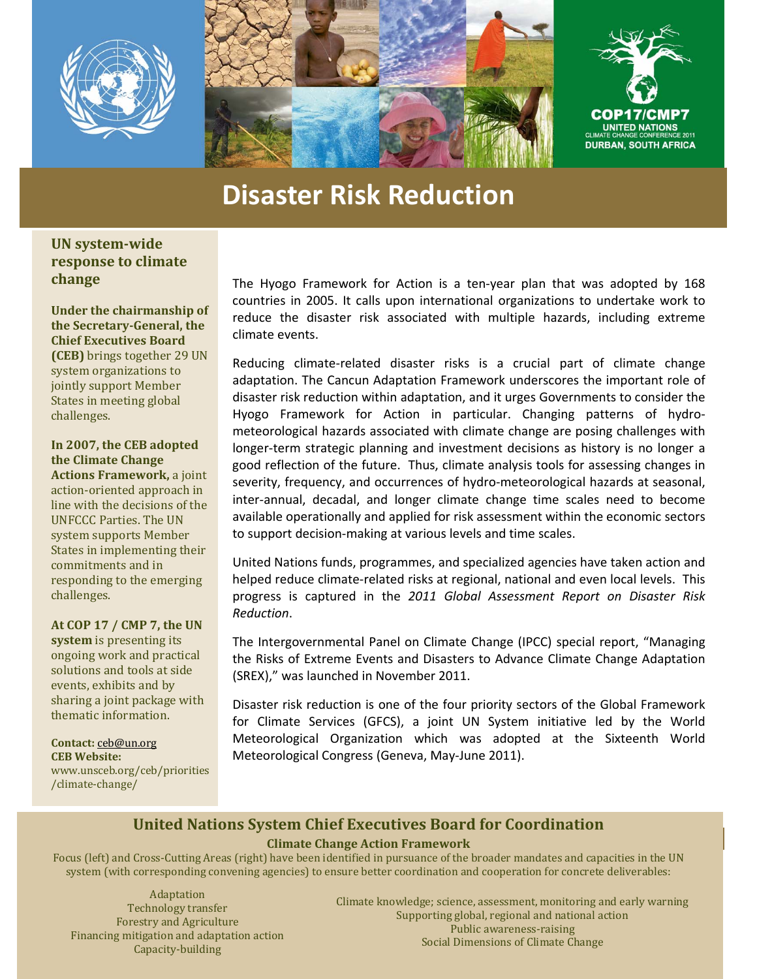





# **Disaster Risk Reduction**

**UN systemwide response to climate change**

**Under the chairmanship of the SecretaryGeneral, the Chief Executives Board (CEB)** brings together 29 UN system organizations to jointly support Member States in meeting global challenges.

**In 2007, the CEB adopted the Climate Change Actions Framework,** a joint action‐oriented approach in line with the decisions of the UNFCCC Parties. The UN system supports Member States in implementing their commitments and in responding to the emerging challenges.

**At COP 17 / CMP 7, the UN system** is presenting its ongoing work and practical solutions and tools at side events, exhibits and by sharing a joint package with thematic information.

**Contact:** ceb@un.org **CEB Website:** www.unsceb.org/ceb/priorities /climate‐change/

The Hyogo Framework for Action is a ten-year plan that was adopted by 168 countries in 2005. It calls upon international organizations to undertake work to reduce the disaster risk associated with multiple hazards, including extreme climate events.

Reducing climate‐related disaster risks is a crucial part of climate change adaptation. The Cancun Adaptation Framework underscores the important role of disaster risk reduction within adaptation, and it urges Governments to consider the Hyogo Framework for Action in particular. Changing patterns of hydro‐ meteorological hazards associated with climate change are posing challenges with longer-term strategic planning and investment decisions as history is no longer a good reflection of the future. Thus, climate analysis tools for assessing changes in severity, frequency, and occurrences of hydro‐meteorological hazards at seasonal, inter‐annual, decadal, and longer climate change time scales need to become available operationally and applied for risk assessment within the economic sectors to support decision‐making at various levels and time scales.

United Nations funds, programmes, and specialized agencies have taken action and helped reduce climate-related risks at regional, national and even local levels. This progress is captured in the *2011 Global Assessment Report on Disaster Risk Reduction*.

The Intergovernmental Panel on Climate Change (IPCC) special report, "Managing the Risks of Extreme Events and Disasters to Advance Climate Change Adaptation (SREX)," was launched in November 2011.

Disaster risk reduction is one of the four priority sectors of the Global Framework for Climate Services (GFCS), a joint UN System initiative led by the World Meteorological Organization which was adopted at the Sixteenth World Meteorological Congress (Geneva, May‐June 2011).

#### **United Nations System Chief Executives Board for Coordination**

#### **Climate Change Action Framework**

Focus (left) and Cross‐Cutting Areas (right) have been identified in pursuance of the broader mandates and capacities in the UN system (with corresponding convening agencies) to ensure better coordination and cooperation for concrete deliverables:

Adaptation Technology transfer Forestry and Agriculture Financing mitigation and adaptation action Capacity‐building

Climate knowledge; science, assessment, monitoring and early warning Supporting global, regional and national action Public awareness‐raising Social Dimensions of Climate Change